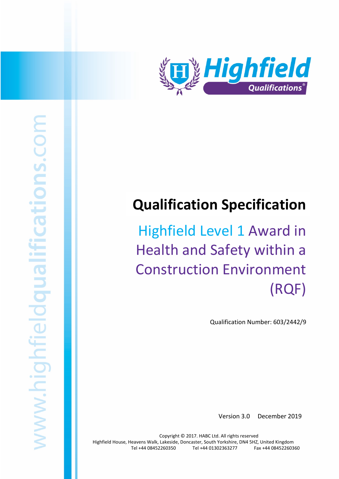

# **Qualification Specification**

Highfield Level 1 Award in Health and Safety within a Construction Environment (RQF)

Qualification Number: 603/2442/9

Version 3.0 December 2019

Copyright © 2017. HABC Ltd. All rights reserved Highfield House, Heavens Walk, Lakeside, Doncaster, South Yorkshire, DN4 5HZ, United Kingdom Tel +44 08452260350 Tel +44 01302363277 Fax +44 08452260360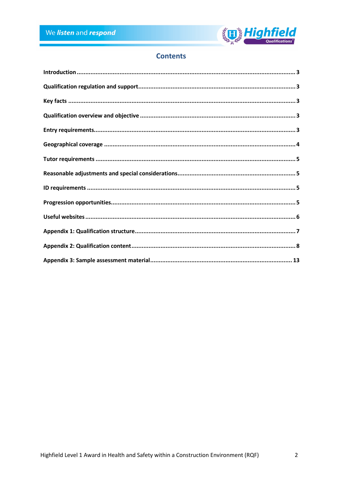

## **Contents**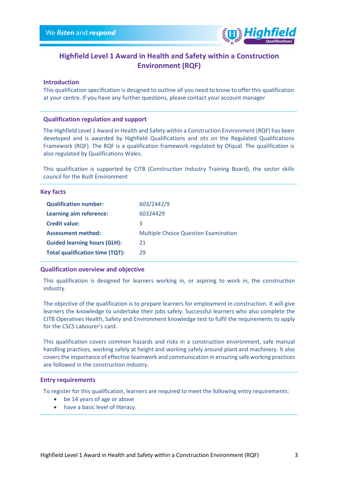

## **Highfield Level 1 Award in Health and Safety within a Construction Environment (RQF)**

#### <span id="page-2-0"></span>**Introduction**

This qualification specification is designed to outline all you need to know to offer this qualification at your centre. If you have any further questions, please contact your account manager

#### <span id="page-2-1"></span>**Qualification regulation and support**

The Highfield Level 1 Award in Health and Safety within a Construction Environment (RQF) has been developed and is awarded by Highfield Qualifications and sits on the Regulated Qualifications Framework (RQF). The RQF is a qualification framework regulated by Ofqual. The qualification is also regulated by Qualifications Wales.

This qualification is supported by CITB (Construction Industry Training Board), the sector skills council for the Built Environment

#### <span id="page-2-2"></span>**Key facts**

| <b>Qualification number:</b>           | 603/2442/9                                  |
|----------------------------------------|---------------------------------------------|
| Learning aim reference:                | 60324429                                    |
| <b>Credit value:</b>                   | 3                                           |
| <b>Assessment method:</b>              | <b>Multiple Choice Question Examination</b> |
| <b>Guided learning hours (GLH):</b>    | 21                                          |
| <b>Total qualification time (TQT):</b> | 29                                          |

#### <span id="page-2-3"></span>**Qualification overview and objective**

This qualification is designed for learners working in, or aspiring to work in, the construction industry.

The objective of the qualification is to prepare learners for employment in construction. It will give learners the knowledge to undertake their jobs safely. Successful learners who also complete the CITB Operatives Health, Safety and Environment knowledge test to fulfil the requirements to apply for the CSCS Labourer's card.

This qualification covers common hazards and risks in a construction environment, safe manual handling practices, working safely at height and working safely around plant and machinery. It also covers the importance of effective teamwork and communication in ensuring safe working practices are followed in the construction industry.

#### <span id="page-2-4"></span>**Entry requirements**

To register for this qualification, learners are required to meet the following entry requirements:

- be 14 years of age or above
- have a basic level of literacy.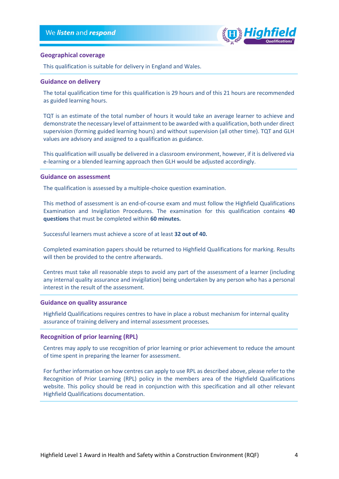

#### <span id="page-3-0"></span>**Geographical coverage**

This qualification is suitable for delivery in England and Wales.

#### **Guidance on delivery**

The total qualification time for this qualification is 29 hours and of this 21 hours are recommended as guided learning hours.

TQT is an estimate of the total number of hours it would take an average learner to achieve and demonstrate the necessary level of attainment to be awarded with a qualification, both under direct supervision (forming guided learning hours) and without supervision (all other time). TQT and GLH values are advisory and assigned to a qualification as guidance.

This qualification will usually be delivered in a classroom environment, however, if it is delivered via e-learning or a blended learning approach then GLH would be adjusted accordingly.

#### **Guidance on assessment**

The qualification is assessed by a multiple-choice question examination.

This method of assessment is an end-of-course exam and must follow the Highfield Qualifications Examination and Invigilation Procedures. The examination for this qualification contains **40 questions** that must be completed within **60 minutes.**

Successful learners must achieve a score of at least **32 out of 40.**

Completed examination papers should be returned to Highfield Qualifications for marking. Results will then be provided to the centre afterwards.

Centres must take all reasonable steps to avoid any part of the assessment of a learner (including any internal quality assurance and invigilation) being undertaken by any person who has a personal interest in the result of the assessment.

#### **Guidance on quality assurance**

Highfield Qualifications requires centres to have in place a robust mechanism for internal quality assurance of training delivery and internal assessment processes*.*

#### **Recognition of prior learning (RPL)**

Centres may apply to use recognition of prior learning or prior achievement to reduce the amount of time spent in preparing the learner for assessment.

For further information on how centres can apply to use RPL as described above, please refer to the Recognition of Prior Learning (RPL) policy in the members area of the Highfield Qualifications website. This policy should be read in conjunction with this specification and all other relevant Highfield Qualifications documentation.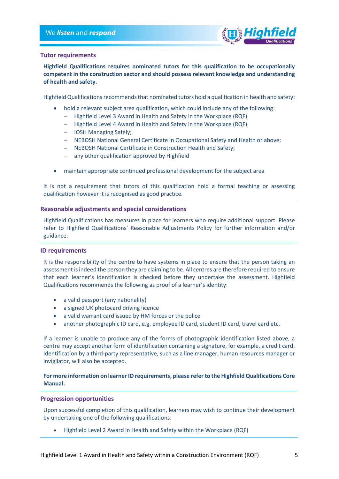

#### <span id="page-4-0"></span>**Tutor requirements**

**Highfield Qualifications requires nominated tutors for this qualification to be occupationally competent in the construction sector and should possess relevant knowledge and understanding of health and safety.**

Highfield Qualifications recommends that nominated tutors hold a qualification in health and safety:

- hold a relevant subject area qualification, which could include any of the following:
	- − Highfield Level 3 Award in Health and Safety in the Workplace (RQF)
	- − Highfield Level 4 Award in Health and Safety in the Workplace (RQF)
	- − IOSH Managing Safely;
	- − NEBOSH National General Certificate in Occupational Safety and Health or above;
	- − NEBOSH National Certificate in Construction Health and Safety;
	- − any other qualification approved by Highfield
- maintain appropriate continued professional development for the subject area

It is not a requirement that tutors of this qualification hold a formal teaching or assessing qualification however it is recognised as good practice.

#### <span id="page-4-1"></span>**Reasonable adjustments and special considerations**

Highfield Qualifications has measures in place for learners who require additional support. Please refer to Highfield Qualifications' Reasonable Adjustments Policy for further information and/or guidance.

#### <span id="page-4-2"></span>**ID requirements**

It is the responsibility of the centre to have systems in place to ensure that the person taking an assessment is indeed the person they are claiming to be. All centres are therefore required to ensure that each learner's identification is checked before they undertake the assessment. Highfield Qualifications recommends the following as proof of a learner's identity:

- a valid passport (any nationality)
- a signed UK photocard driving licence
- a valid warrant card issued by HM forces or the police
- another photographic ID card, e.g. employee ID card, student ID card, travel card etc.

If a learner is unable to produce any of the forms of photographic identification listed above, a centre may accept another form of identification containing a signature, for example, a credit card. Identification by a third-party representative, such as a line manager, human resources manager or invigilator, will also be accepted.

#### **For more information on learner ID requirements, please refer to the Highfield Qualifications Core Manual.**

#### <span id="page-4-3"></span>**Progression opportunities**

Upon successful completion of this qualification, learners may wish to continue their development by undertaking one of the following qualifications:

• Highfield Level 2 Award in Health and Safety within the Workplace (RQF)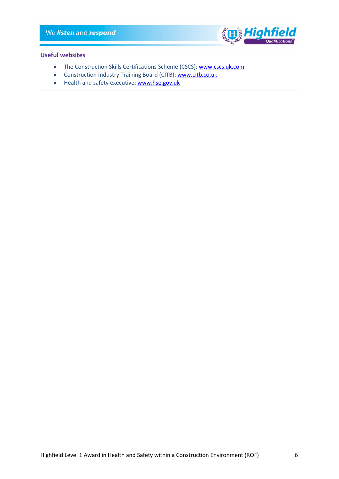

#### <span id="page-5-0"></span>**Useful websites**

- The Construction Skills Certifications Scheme (CSCS): [www.cscs.uk.com](http://www.cscs.uk.com/)
- Construction Industry Training Board (CITB)[: www.citb.co.uk](http://www.citb.co.uk/)
- Health and safety executive[: www.hse.gov.uk](http://www.hse.gov.uk/)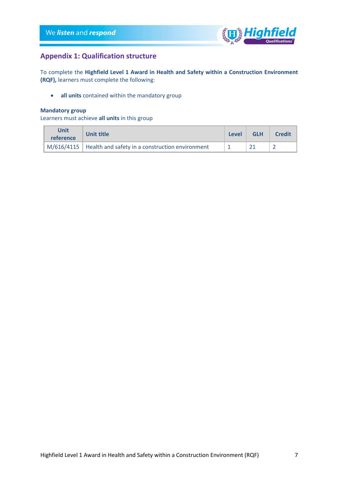

## <span id="page-6-0"></span>**Appendix 1: Qualification structure**

To complete the **Highfield Level 1 Award in Health and Safety within a Construction Environment (RQF),** learners must complete the following:

• **all units** contained within the mandatory group

#### **Mandatory group**

Learners must achieve **all units** in this group

| Unit<br>reference | <b>Unit title</b>                                            | Level | <b>GLH</b> | <b>Credit</b> |
|-------------------|--------------------------------------------------------------|-------|------------|---------------|
|                   | $M/616/4115$ Health and safety in a construction environment |       |            |               |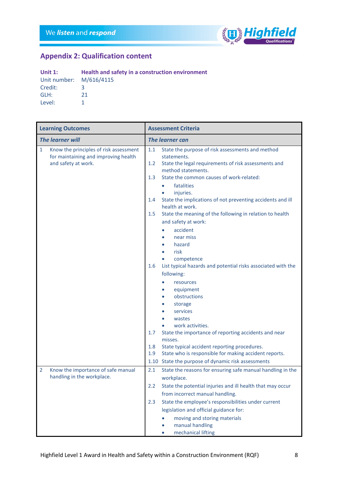

## <span id="page-7-0"></span>**Appendix 2: Qualification content**

| Unit $1$ :              | Health and safety in a construction environment |
|-------------------------|-------------------------------------------------|
| Unit number: M/616/4115 |                                                 |
| Credit:                 | 2                                               |
| GLH:                    | 21                                              |
| Level:                  |                                                 |

|                         | <b>Learning Outcomes</b>                                                                              |                          | <b>Assessment Criteria</b>                                                                                                                                                                                                                                                                                                                                          |  |
|-------------------------|-------------------------------------------------------------------------------------------------------|--------------------------|---------------------------------------------------------------------------------------------------------------------------------------------------------------------------------------------------------------------------------------------------------------------------------------------------------------------------------------------------------------------|--|
| <b>The learner will</b> |                                                                                                       | <b>The learner can</b>   |                                                                                                                                                                                                                                                                                                                                                                     |  |
| $\mathbf{1}$            | Know the principles of risk assessment<br>for maintaining and improving health<br>and safety at work. | 1.1<br>1.2<br>1.3        | State the purpose of risk assessments and method<br>statements.<br>State the legal requirements of risk assessments and<br>method statements.<br>State the common causes of work-related:<br>fatalities<br>$\bullet$<br>injuries.<br>$\bullet$                                                                                                                      |  |
|                         |                                                                                                       | 1.4                      | State the implications of not preventing accidents and ill<br>health at work.                                                                                                                                                                                                                                                                                       |  |
|                         |                                                                                                       | 1.5                      | State the meaning of the following in relation to health<br>and safety at work:<br>accident<br>near miss<br>hazard<br>risk                                                                                                                                                                                                                                          |  |
|                         |                                                                                                       | 1.6<br>1.7<br>1.8<br>1.9 | competence<br>List typical hazards and potential risks associated with the<br>following:<br>resources<br>equipment<br>obstructions<br>storage<br>services<br>wastes<br>work activities.<br>State the importance of reporting accidents and near<br>misses.<br>State typical accident reporting procedures.<br>State who is responsible for making accident reports. |  |
|                         |                                                                                                       |                          | 1.10 State the purpose of dynamic risk assessments                                                                                                                                                                                                                                                                                                                  |  |
| $\overline{2}$          | Know the importance of safe manual                                                                    | 2.1                      | State the reasons for ensuring safe manual handling in the                                                                                                                                                                                                                                                                                                          |  |
|                         | handling in the workplace.                                                                            | 2.2                      | workplace.<br>State the potential injuries and ill health that may occur<br>from incorrect manual handling.                                                                                                                                                                                                                                                         |  |
|                         |                                                                                                       | 2.3                      | State the employee's responsibilities under current<br>legislation and official guidance for:<br>moving and storing materials<br>manual handling<br>mechanical lifting                                                                                                                                                                                              |  |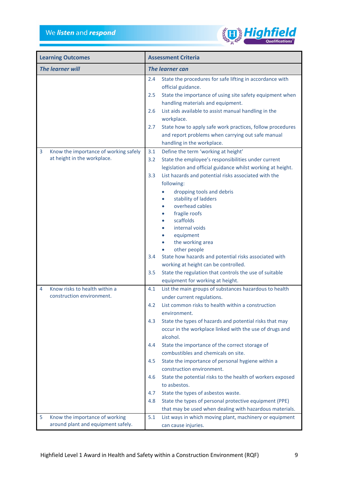

|                         | <b>Learning Outcomes</b>              |                        | <b>Assessment Criteria</b>                                                                                        |  |
|-------------------------|---------------------------------------|------------------------|-------------------------------------------------------------------------------------------------------------------|--|
| <b>The learner will</b> |                                       | <b>The learner can</b> |                                                                                                                   |  |
|                         |                                       | 2.4                    | State the procedures for safe lifting in accordance with<br>official guidance.                                    |  |
|                         |                                       | 2.5                    | State the importance of using site safety equipment when<br>handling materials and equipment.                     |  |
|                         |                                       | 2.6                    | List aids available to assist manual handling in the                                                              |  |
|                         |                                       |                        | workplace.                                                                                                        |  |
|                         |                                       | 2.7                    | State how to apply safe work practices, follow procedures<br>and report problems when carrying out safe manual    |  |
|                         |                                       |                        | handling in the workplace.                                                                                        |  |
| 3                       | Know the importance of working safely | 3.1                    | Define the term 'working at height'                                                                               |  |
|                         | at height in the workplace.           | 3.2                    | State the employee's responsibilities under current                                                               |  |
|                         |                                       |                        | legislation and official guidance whilst working at height.                                                       |  |
|                         |                                       | 3.3                    | List hazards and potential risks associated with the                                                              |  |
|                         |                                       |                        | following:                                                                                                        |  |
|                         |                                       |                        | dropping tools and debris<br>stability of ladders                                                                 |  |
|                         |                                       |                        | overhead cables                                                                                                   |  |
|                         |                                       |                        | fragile roofs                                                                                                     |  |
|                         |                                       |                        | scaffolds                                                                                                         |  |
|                         |                                       |                        | internal voids                                                                                                    |  |
|                         |                                       |                        | equipment                                                                                                         |  |
|                         |                                       |                        | the working area                                                                                                  |  |
|                         |                                       | 3.4                    | other people<br>State how hazards and potential risks associated with                                             |  |
|                         |                                       |                        | working at height can be controlled.                                                                              |  |
|                         |                                       | 3.5                    | State the regulation that controls the use of suitable                                                            |  |
|                         |                                       |                        | equipment for working at height.                                                                                  |  |
| 4                       | Know risks to health within a         | 4.1                    | List the main groups of substances hazardous to health                                                            |  |
|                         | construction environment.             |                        | under current regulations.                                                                                        |  |
|                         |                                       | 4.2                    | List common risks to health within a construction                                                                 |  |
|                         |                                       |                        | environment.                                                                                                      |  |
|                         |                                       | 4.3                    | State the types of hazards and potential risks that may                                                           |  |
|                         |                                       |                        | occur in the workplace linked with the use of drugs and<br>alcohol.                                               |  |
|                         |                                       | 4.4                    | State the importance of the correct storage of                                                                    |  |
|                         |                                       |                        | combustibles and chemicals on site.                                                                               |  |
|                         |                                       | 4.5                    | State the importance of personal hygiene within a                                                                 |  |
|                         |                                       |                        | construction environment.                                                                                         |  |
|                         |                                       | 4.6                    | State the potential risks to the health of workers exposed                                                        |  |
|                         |                                       |                        | to asbestos.                                                                                                      |  |
|                         |                                       | 4.7                    | State the types of asbestos waste.                                                                                |  |
|                         |                                       | 4.8                    | State the types of personal protective equipment (PPE)<br>that may be used when dealing with hazardous materials. |  |
| 5                       | Know the importance of working        | 5.1                    | List ways in which moving plant, machinery or equipment                                                           |  |
|                         | around plant and equipment safely.    |                        | can cause injuries.                                                                                               |  |
|                         |                                       |                        |                                                                                                                   |  |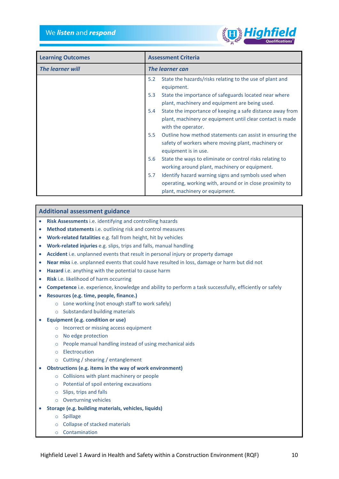

| <b>Learning Outcomes</b> | <b>Assessment Criteria</b>                                                                                                                               |
|--------------------------|----------------------------------------------------------------------------------------------------------------------------------------------------------|
| <b>The learner will</b>  | The learner can                                                                                                                                          |
|                          | State the hazards/risks relating to the use of plant and<br>5.2<br>equipment.                                                                            |
|                          | 5.3<br>State the importance of safeguards located near where<br>plant, machinery and equipment are being used.                                           |
|                          | State the importance of keeping a safe distance away from<br>5.4<br>plant, machinery or equipment until clear contact is made<br>with the operator.      |
|                          | 5.5<br>Outline how method statements can assist in ensuring the<br>safety of workers where moving plant, machinery or<br>equipment is in use.            |
|                          | 5.6<br>State the ways to eliminate or control risks relating to<br>working around plant, machinery or equipment.                                         |
|                          | Identify hazard warning signs and symbols used when<br>5.7<br>operating, working with, around or in close proximity to<br>plant, machinery or equipment. |

#### **Additional assessment guidance**

- **Risk Assessments** i.e. identifying and controlling hazards
- **Method statements** i.e. outlining risk and control measures
- **Work-related fatalities** e.g. fall from height, hit by vehicles
- **Work-related injuries** e.g. slips, trips and falls, manual handling
- **Accident** i.e. unplanned events that result in personal injury or property damage
- **Near miss** i.e. unplanned events that could have resulted in loss, damage or harm but did not
- **Hazard** i.e. anything with the potential to cause harm
- **Risk** i.e. likelihood of harm occurring
- **Competence** i.e. experience, knowledge and ability to perform a task successfully, efficiently or safely
- **Resources (e.g. time, people, finance.)**
	- o Lone working (not enough staff to work safely)
	- o Substandard building materials
- **Equipment (e.g. condition or use)**
	- o Incorrect or missing access equipment
	- o No edge protection
	- o People manual handling instead of using mechanical aids
	- o Electrocution
	- o Cutting / shearing / entanglement
- **Obstructions (e.g. items in the way of work environment)**
	- o Collisions with plant machinery or people
	- o Potential of spoil entering excavations
	- o Slips, trips and falls
	- o Overturning vehicles
- **Storage (e.g. building materials, vehicles, liquids)**
	- o Spillage
	- o Collapse of stacked materials
	- o Contamination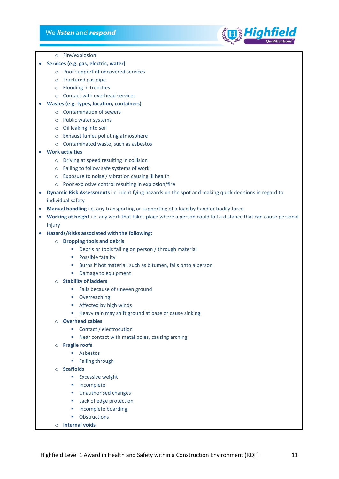#### We listen and respond



- o Fire/explosion
- **Services (e.g. gas, electric, water)**
	- o Poor support of uncovered services
	- o Fractured gas pipe
	- o Flooding in trenches
	- o Contact with overhead services

#### • **Wastes (e.g. types, location, containers)**

- o Contamination of sewers
- o Public water systems
- o Oil leaking into soil
- o Exhaust fumes polluting atmosphere
- o Contaminated waste, such as asbestos
- **Work activities**
	- o Driving at speed resulting in collision
	- o Failing to follow safe systems of work
	- o Exposure to noise / vibration causing ill health
	- o Poor explosive control resulting in explosion/fire
- **Dynamic Risk Assessments** i.e. identifying hazards on the spot and making quick decisions in regard to individual safety
- **Manual handling** i.e. any transporting or supporting of a load by hand or bodily force
- **Working at height** i.e. any work that takes place where a person could fall a distance that can cause personal injury
- **Hazards/Risks associated with the following:**
	- o **Dropping tools and debris**
		- Debris or tools falling on person / through material
		- **Possible fatality**
		- Burns if hot material, such as bitumen, falls onto a person
		- **Damage to equipment**
	- o **Stability of ladders**
		- **Falls because of uneven ground**
		- **•** Overreaching
		- **Affected by high winds**
		- Heavy rain may shift ground at base or cause sinking
	- o **Overhead cables**
		- **Contact / electrocution**
		- Near contact with metal poles, causing arching
	- o **Fragile roofs**
		- **Asbestos**
		- **Falling through**
	- o **Scaffolds**
		- **Excessive weight**
		- **Incomplete**
		- **Unauthorised changes**
		- **Lack of edge protection**
		- **Incomplete boarding**
		- **•** Obstructions
	- o **Internal voids**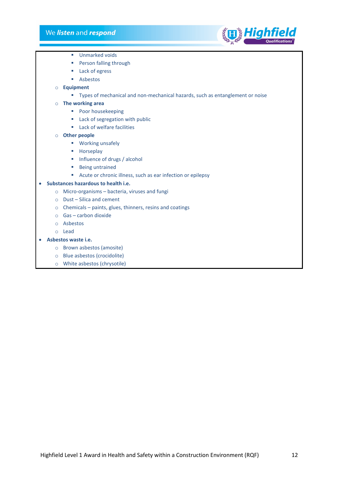

- **Unmarked voids**
- **Person falling through**
- **Lack of egress**
- Asbestos
- o **Equipment**
	- Types of mechanical and non-mechanical hazards, such as entanglement or noise
- o **The working area**
	- **Poor housekeeping**
	- **Lack of segregation with public**
	- **Lack of welfare facilities**
- o **Other people**
	- **■** Working unsafely
	- **Horseplay**
	- $\blacksquare$  Influence of drugs / alcohol
	- **Being untrained**
	- Acute or chronic illness, such as ear infection or epilepsy

#### • **Substances hazardous to health i.e.**

- o Micro-organisms bacteria, viruses and fungi
- o Dust Silica and cement
- o Chemicals paints, glues, thinners, resins and coatings
- o Gas carbon dioxide
- o Asbestos
- o Lead
- **Asbestos waste i.e.**
	- o Brown asbestos (amosite)
	- o Blue asbestos (crocidolite)
	- o White asbestos (chrysotile)